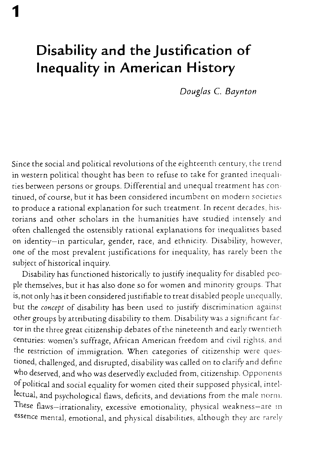## **Disability and the Justification of Inequality in American History**

Douglas C. Baynton

Since the social and political revolutions of the eighteenth century, the trend in western political thought has been to refuse to take for granted inequalities between persons or groups. Differential and unequal treatment has continued, of course, but it has been considered incumbent on modern societies to produce a rational explanation for such treatment. In recent decades, historians and other scholars in the humanities have studied intensely and often challenged the ostensibly rational explanations for inequalities based on identity-in particular, gender, race, and ethnicity. Disability, however, one of the most prevalent justifications for inequality, has rarely been the subject of historical inquiry.

Disability has functioned historically to justify inequality for disabled people themselves, but it has also done so for women and minority groups. That is, not only has it been considered justifiable to treat disabled people unequally, but the concept of disability has been used to justify discrimination against other groups by attributing disability to them. Disability was a significant fartor in the three great citizenship debates of the nineteenth and early twentieth centuries: women's suffrage, African American freedom and civil rights, and the restriction of immigration. When categories of citizenship were questioned, challenged, and disrupted, disability was called on to clarify and define who deserved, and who was deservedly excluded from, citizenship. Opponents of political and social equality for women cited their supposed physical, intellectual, and psychological flaws, deficits, and deviations from the male norm. These flaws-irrationality, excessive emotionality, physical weakness-are in essence mental, emotional, and physical disabilities, although they are rarcly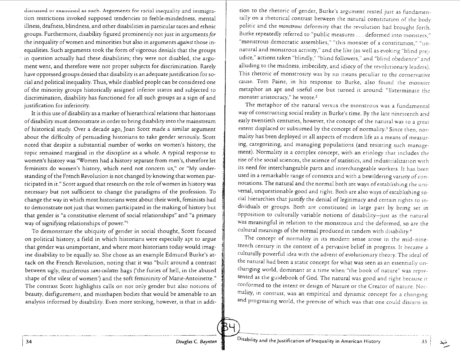**discussed or examined as such. Arguments** For racial inequality and immigration restrictions invoked supposed tendencies to feeble-mindedness, mental illness, deafness, blindness, and other disabilities in particular races and ethnic groups. Furthermore, disability figured prominently not just in arguments for the inequality of women and minorities but also in arguments against those inequalities. Such arguments took the form of vigorous denials that the groups in question actually had these disabilities; they were not disabled, the argument went, and therefore were not proper subjects for discrimination. Rarely have oppressed groups denied that disability is an adequate justification for social and political inequality. Thus, while disabled people can be considered one of the minority groups historically assigned inferior status and subjected to discrimination, disability has functioned for all such groups as a sign of and justification for inferiority.

It is this use of disability as a marker of hierarchical relations that historians of disability must demonstrate in order to bring disability into the mainstream of historical study. Over a decade ago, Joan Scott made a similar argument about the difficulty of persuading historians to take gender seriously. Scott noted that despite a substantial number of works on women's history, the topic remained marginal in the discipline as a whole. A typical response to women's history was "Women had a history separate from men's, therefore let feminists do women's history, which need not concern us," or "My understanding of the French Revolution is not changed by knowing that women participated in it." Scott argued that research on the role ofwomen in history was necessary but not sufficient to change the paradigms of the profession. To change the way in which most historians went about their work, feminists had to demonstrate not just that women participated in the making of history but that gender is "a constitutive element of social relationships" and "a primary way of signifying relationships of power."'

To demonstrate the ubiquity of gender in social thought, Scott focused on political history, a field in which historians were especially apt to argue that gender was unimportant, and where most historians today would imagine disability to be equally so. She chose as an example Edmund Burke's attack on the French Revolution, noting that it was "built around a contrast between ugly, murderous sans-culottes hags ('the furies of hell, in the abused shape of the vilest of women') and the soft femininity of Marie-Antoinette." The contrast Scott highlights calls on not only gender but also notions of beauty, disfigurement, and misshapen bodies that would be amenable to an analysis informed by disability. Even more striking, however, is that in addition to the rhetoric of gender, Burke's argument rested just as fundamentally on a rhetorical contrast between the natural constitution of the body politic and the *monstrous* deformity that the revolution had brought forth. Burke repeatedly referred to "public measures . . . deformed into monsters," "monstrous democratic assemblies," "this monster of a constitution," "unnatural and monstrous activity," and the like (as well as evoking "blind prejudice," actions taken "blindly," "blind followers," and "blind obedience" and alluding to the madness, imbecility, and idiocy of the revolutionary leaders). This rhetoric of monstrosity was by no means peculiar to the conservative cause. Tom Paine, in his response to Burke, also found the monster metaphor an apt and useful one but turned it around: "Exterminate the monster aristocracy," he wrote.2

The metaphor of the natural versus the monstrous was a fundamental way of constructing social reality in Burke's time. By the late nineteenth and early twentieth centuries, however, the concept of the natural was to a great extent displaced or subsumed by the concept of normality.<sup>3</sup> Since then, normality has been deployed in all aspects of modern life as a means of measuring, categorizing, and managing populations (and resisting such management). Normality is a complex concept, with an etiology that includes the rise of the social sciences, the science of statistics, and industrialization with its need for interchangeable parts and interchangeable workers. It has been used in a remarkable range of contexts and with a bewildering variety of connotations. The natural and the normal both are ways of establishing the universal, unquestionable good and right. Both are also ways of establishing social hierarchies that justify the denial of legitimacy and certain rights to individuals or groups. Both are constituted in large part by being set in opposition to culturally variable notions of disability-just as the natural was meaningful in relation to the monstrous and the deformed, so are the cultural meanings of the normal produced in tandem with disability.<sup>4</sup>

The concept of normality in its modern sense arose in the mid-nineteenth century in the context of a pervasive belief in progress. It became a culturally powerful idea with the advent of evolutionary theory. The ideal of the natural had been a static concept for what was seen as an essentially unchanging world, dominant at a time when "the book of nature" was represented as the guidebook of God. The natural was good and right because it conformed to the intent or design of Nature or the Creator of nature. Normality, in contrast, was an empirical and dynamic concept for a changing and progressing world, the premise of which was that one could discern in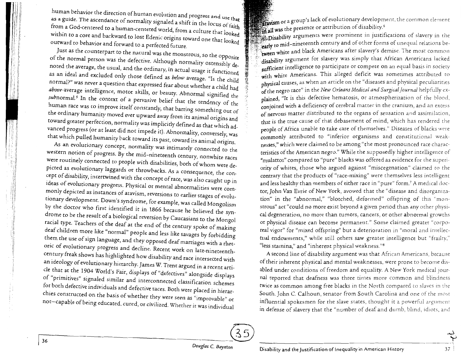human behavior the direction of human evolution and progress and use that as a guide. The ascendance of normality signaled a shift in the locus of faith from a God-centered to a human-centered world, from a culture that looked within to a core and backward to lost Edenic origins toward one that looked outward to behavior and forward to a perfected future.

Just as the counterpart to the natural was the monstrous, so the opposite of the normal person was the defective. Although normality ostensibly denoted the average, the usual, and the ordinary, in actual usage it functioned as an ideal and excluded only those defined as below average. "Is the child normal?" was never a question that expressed fear about whether a child had above-average intelligence, motor skills, or beauty. Abnormal signified the subnormal.<sup>5</sup> In the context of a pervasive belief that the tendency of the human race was to improve itself constantly, that barring something out of the ordinary humanity moved ever upward away from its animal origins and toward greater perfection, normality was implicitly defined as that which advanced progress (or at least did not impede it). Abnormality, conversely, was that which pulled humanity back toward its past, toward its animal origins.

As an evolutionary concept, normality was intimately connected to the western notion of progress. By the mid-nineteenth century, nonwhite races were routinely connected to people with disabilities, both of whom were depicted as evolutionary laggards or throwbacks. As a consequence, the concept of disability, intertwined with the concept of race, was also caught up in ideas of evolutionary progress. Physical or mental abnormalities were commonly depicted as instances of atavism, reversions to earlier stages of evolutionary development. Down's syndrome, for example, was called Mongolism by the doctor who first identified it in 1866 because he believed the syndrome to be the result of a biological reversion by Caucasians to the Mongol racial type. Teachers of the deaf at the end of the century spoke of making deaf children more like "normal" people and less like savages by forbidding them the use of sign language, and they opposed deaf marriages with a rhetoric of evolutionary progress and decline. Recent work on late-nineteenthcentury freak shows has highlighted how disability and race intersected with an ideology of evolutionary hierarchy. James W. Trent argued in a recent article that at the 1904 World's Fair, displays of "defectives" alongside displays of "primitives" signaled similar and interconnected classification schemes for both defective individuals and defective races. Both were placed in hierarchies constructed on the basis of whether they were seen as "improvable" or not-capable of being educated, cured, or civilized. Whether it was individual

atavism or a group's lack of evolutionary development, the common element th all was the presence or attribution of disability.<sup>6</sup>

Disability arguments were prominent in justifications of slavery in the early to mid-nineteenth century and of other forms of unequal relations between white and black Americans after slavery's demise. The most common disability argument for slavery was simply that African Americans lacked sufficient intelligence to participate or compete on an equal basis in society with white Americans. This alleged deficit was sometimes attributed to physical causes, as when an article on the "diseases and physical peculiarities of the negro race" in the New Orleans Medical and Surgical Journal helpfully explained, "It is this defective hematosis, or atmospherization of the blood, conjoined with a deficiency of cerebral matter in the cranium, and an excess of nervous matter distributed to the organs of sensation and assimilation, that is the true cause of that debasement of mind, which has rendered the people of Africa unable to take care of themselves." Diseases of blacks were commonly attributed to "inferior organisms and constitutional weaknesses," which were claimed to be among "the most pronounced race characteristics of the American negro." While the supposedly higher intelligence of "mulattos" compared to "pure" blacks was offered as evidence for the superiority of whites, those who argued against "miscegenation" claimed to the contrary that the products of "race-mixing" were themselves less intelligent and less healthy than members of either race in "pure" form.<sup>7</sup> A medical doctor, John Van Evrie of New York, avowed that the "disease and disorganization" in the "abnormal," "blotched, deformed" offspring of this "monstrous" act "could no more exist beyond a given period than any other physical degeneration, no more than tumors, cancers, or other abnormal growths or physical disease can become permanent." Some claimed greater "corporeal vigor" for "mixed offspring" but a deterioration in "moral and intellectual endowments," while still others saw greater intelligence but "frailty," "less stamina," and "inherent physical weakness."<sup>8</sup>

A second line of disability argument was that African Americans, because of their inherent physical and mental weaknesses, were prone to become disabled under conditions of freedom and equality. A New York medical journal reported that deafness was three times more common and blindness twice as common among free blacks in the North compared to slaves in the South. John C. Calhoun, senator from South Carolina and one of the most influential spokesmen for the slave states, thought it a powerful argument in defense of slavery that the "number of deaf and dumb, blind, idiots, and

36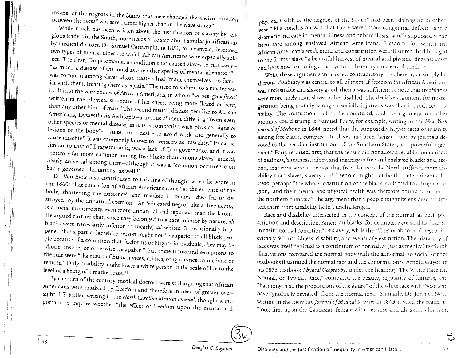insane, of the negroes in the States that have changed the ancient relation between the races" was seven times higher than in the slave states.<sup>9</sup>

While much has been written about the justification of slavery by religious leaders in the South, more needs to be said about similar justifications by medical doctors. Dr. Samuel Cartwright, in 1851, for example, described two types of mental illness to which African Americans were especially subject. The first, Drapetomania, a condition that caused slaves to run away-"as much a disease of the mind as any other species of mental alienation"was common among slaves whose masters had "made themselves too familiar with them, treating them as equals." The need to submit to a master was built into the very bodies of African Americans, in whom "we see 'genu flexit' written in the physical structure of his knees, being more flexed or bent, than any other kind of man." The second mental disease peculiar to African Americans, Dysaesthesia Aethiopis-a unique ailment differing "from every other species of mental disease, as it is accompanied with physical signs or lesions of the body"-resulted in a desire to avoid work and generally to cause mischief. It was commonly known to overseers as "rascality." Its cause, similar to that of Drapetomania, was a lack of firm governance, and it was therefore far more common among free blacks than among slaves-indeed, nearly universal among them-although it was a "common occurrence on badly-governed plantations" as well.<sup>10</sup>

Dr. Van Evrie also contributed to this line of thought when he wrote in the 1860s that education of African Americans came "at the expense of the body, shortening the existence" and resulted in bodies "dwarfed or destroyed" by the unnatural exertion. "An 'educated negro,' like a 'free negro,' is a social monstrosity, even more unnatural and repulsive than the latter." He argued further that, since they belonged to a race inferior by nature, all blacks were necessarily inferior to (nearly) all whites. It occasionally happened that a particular white person might not be superior to all black people because of a condition that "deforms or blights individuals; they may be idiotic, insane, or otherwise incapable." But these unnatural exceptions to the rule were "the result of human vices, crimes, or ignorance, immediate or remote." Only disability might lower a white person in the scale of life to the level of a being of a marked race.<sup>11</sup>

By the turn of the century, medical doctots were still arguing that African Americans were disabled by freedom and therefore in need of greater oversight. J. F. Miller, writing in the North Carolina Medical Journal, thought it important to inquire whether "the effect of freedom upon the mental and physical health of the negroes of the South" had been "damaging or otherwise." His conclusion was that there were "more congenital defects" and a dramatic increase in mental illness and tuberculosis, which supposedly had been rare among enslaved African Americans. Freedom, for which the African American's weak mind and constitution were ill suited, had brought to the former slave "a beautiful harvest of mental and physical degeneration and he is now becoming a martyr to an heredity thus established."<sup>12</sup>

While these arguments were often contradictory, incoherent, or simply ludicrous, disability was central to all of them. If freedom for African Americans was undesirable and slavery good, then it was sufficient to note that free blacks were more likely than slaves to be disabled. The decisive argument for miscegenation being morally wrong or socially injurious was that it produced disability. The contention had to be countered, and no argument on other grounds could trump it. Samuel Forry, for example, writing in the New York Journal of Medicine in 1844, noted that the supposedly higher rates of insanity among free blacks compared to slaves had been "seized upon by journals devoted to the peculiar institutions of the Southern States, as a powerful argument." Forry retorted, first, that the census did not allow a reliable comparison of deafness, blindness, idiocy, and insanity in free and enslaved blacks and, second, that even were it the case that free blacks in the North suffered more disability than slaves, slavery and freedom might not be the determinants. Instead, perhaps "the whole constitution of the black is adapted to a tropical region," and their mental and physical health was therefore bound to suffer in the northern climate.<sup>13</sup> The argument that a people might be enslaved to protect them from disability he left unchallenged.

Race and disability intersected in the concept of the normal, as both prescription and description. American blacks, for example, were said to flourish in their "normal condition" of slavery, while the "'free' or abnormal negro" inevitably fell into illness, disability, and eventually extinction. The hierarchy of races was itself depicted as a continuum of normality. Just as medical textbook illustrations compared the normal body with the abnormal, so social science textbooks illustrated the normal race and the abnormal ones. Arnold Guyot, in his 1873 textbook Physical Geography, under the heading "The White Race the Normal, or Typical, Race," compared the beauty, regularity of features, and "harmony in all the proportions of the figure" of the white race with those who have "gradually deviated" from the normal ideal. Similarly, Dr. John C. Nott, writing in the American Journal of Medical Sciences in 1843, invited the reader to "look first upon the Caucasian female with her rose and lily skin, silky hair,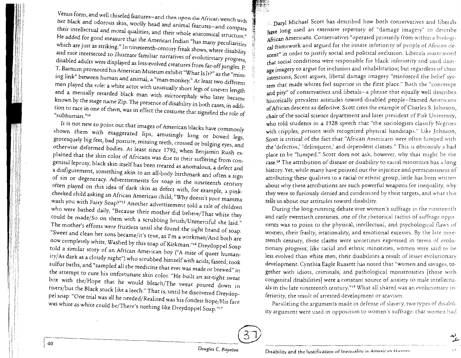Venus form, and well chiseled features-and then upon the African wench with her black and odorous skin, woolly head and animal features-and compare their intellectual and moral qualities, and their whole anatomical structure." He added for good measure that the American Indian "has many peculiarities which are just as striking." In nineteenth-century freak shows, where disability and race intersected to illustrate familiar narratives of evolutionary progress, disabled adults were displayed as less-evolved creatures from far-off jungles. P. T. Barnum promoted his American Museum exhibit "What Is It?" as the "missing link" between human and animal, a "man-monkey." At least two different men played the role: a white actor with unusually short legs of uneven length and a mentally retarded black man with microcephaly who later became known by the stage name Zip. The presence of disability in both cases, in addition to race in one of them, was in effect the costume that signified the role of "subhuman."14

It is not new to point out that images of American blacks have commonly shown them with exaggerated lips, amusingly long or bowed legs, grotesquely big feet, bad posture, missing teeth, crossed or bulging eyes, and otherwise deformed bodies. At least since 1792, when Benjamin Rush explained that the skin color of Africans was due to their suffering from congenital leprosy, black skin itself has been treated as anomalous, a defect and a disfigurement, something akin to an all-body birthmark and often a sign of sin or degeneracy. Advertisements for soap in the nineteenth century often played on this idea of dark skin as defect with, for example, a pinkcheeked child asking an African American child, "Why doesn't your mamma wash you with Fairy Soap?"15 Another advertisement told a tale of children who were bathed daily, "Because their mother did believe/That white they could be made/So on them with a scrubbing brush/Unmerciful she laid." The mother's efforts were fruitless until she found the right brand of soap: "Sweet and clean her sons became/it's true, as I'm a workman/And both are now completely white, Washed by this soap of Kirkman."<sup>16</sup> Dreydoppel Soap told a similar story of an African American boy ("A mite of queer humanity/As dark as a cloudy night") who scrubbed himself with acids, fasted, took sulfur baths, and "sampled all the medicine that ever was made or brewed" in the attempt to cure his unfortunate skin color. "He built an air-tight sweat box with the/Hope that he would bleach/The sweat poured down in rivers/but the Black stuck like a leech." That is, until he discovered Dreydoppel soap: "One trial was all he needed/Realized was his fondest hope/His face was white as white could be/There's nothing like Dreydoppel Soap."17

in Daryl Michael Scott has described how both conservatives and liberals have long used an extensive repertory of "damage imagery" to describe African Americans. Conservatives "operated primarily from within a biological framework and argued for the innate inferiority of people of African descent" in order to justify social and political exclusion. Liberals maintained that social conditions were responsible for black inferiority and used damage imagery to argue for inclusion and rehabilitation; but regardless of their intentions, Scott argues, liberal damage imagery "reinforced the belief system that made whites feel superior in the first place." Both the "contempt and pity" of conservatives and liberals-a phrase that equally well describes historically prevalent attitudes toward disabled people-framed Americans of African descent as defective. Scott cites the example of Charles S. Johnson, chair of the social science department and later president of Fisk University, who told students in a 1928 speech that "the sociologists classify Negroes with cripples, persons with recognized physical handicaps." Like Johnson, Scott is critical of the fact that "African Americans were often lumped with the 'defective,' 'delinquent,' and dependent classes." This is obviously a bad place to be "lumped." Scott does not ask, however, why that might be the case.<sup>18</sup> The attribution of disease or disability to racial minorities has a long history. Yet, while many have pointed out the injustice and perniciousness of attributing these qualities to a racial or ethnic group, little has been written about why these attributions are such powerful weapons for inequality, why they were so furiously denied and condemned by their targets, and what this tells us about our attitudes toward disability.

During the long-running debate over women's suffrage in the nineteenth and early twentieth centuries, one of the rhetorical tactics of suffrage opponents was to point to the physical, intellectual, and psychological flaws of women, their frailty, irrationality, and emotional excesses. By the late nineteenth century, these claims were sometimes expressed in terms of evolutionary progress; like racial and ethnic minorities, women were said to be less evolved than white men, their disabilities a result of lesser evolutionary development. Cynthia Eagle Russett has noted that "women and savages, together with idiots, criminals, and pathological monstrosities [those with congenital disabilities] were a constant source of anxiety to male intellectuals in the late nineteenth century."<sup>19</sup> What all shared was an evolutionary inferiority, the result of arrested development or atavism.

Paralleling the arguments made in defense of slavery, two types of disability argument were used in opposition to women's suffrage: that women had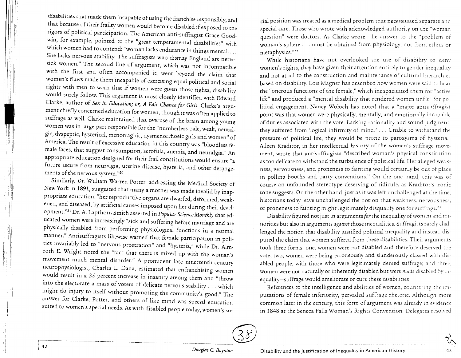disabilities that made them incapable of using the franchise responsibly, and that because of their frailty women would become disabled if exposed to the rigors of political participation. The American anti-suffragist Grace Goodwin, for example, pointed to the "great temperamental disabilities" with which women had to contend: "woman lacks endurance in things mental.... She lacks nervous stability. The suffragists who dismay England are nervesick women." The second line of argument, which was not incompatible with the first and often accompanied it, went beyond the claim that women's flaws made them incapable of exercising equal political and social rights with men to warn that if women were given those rights, disability would surely follow. This argument is most closely identified with Edward Clarke, author of Sex in Education; or, A Fair Chance for Girls. Clarke's argument chiefly concerned education for women, though it was often applied to suffrage as well. Clarke maintained that overuse of the brain among young women was in large part responsible for the "numberless pale, weak, neuralgic, dyspeptic, hysterical, menorraghic, dysmenorrhoeic girls and women" of America. The result of excessive education in this country was "bloodless female faces, that suggest consumption, scrofula, anemia, and neuralgia." An appropriate education designed for their frail constitutions would ensure "a future secure from neuralgia, uterine disease, hysteria, and other derangements of the nervous system."20

Similarly, Dr. William Warren Potter, addressing the Medical Society of New York in 1891, suggested that many a mother was made invalid by inappropriate education: "her reproductive organs are dwarfed, deformed, weakened, and diseased, by artificial causes imposed upon her during their development."21 Dr. A. Lapthorn Smith asserted in Popular Science Monthly that educated women were increasingly "sick and suffering before marriage and are physically disabled from performing physiological functions in a normal manner." Antisuffragists likewise warned that female participation in politics invariably led to "nervous prostration" and "hysteria," while Dr. Almroth E. Wright noted the "fact that there is mixed up with the woman's movement much mental disorder." A prominent late nineteenth-century neurophysiologist, Charles L. Dana, estimated that enfranchising women would result in a 25 percent increase in insanity among them and "throw into the electorate a mass of voters of delicate nervous stability . . . which might do injury to itself without promoting the community's good." The answer for Clarke, Potter, and others of like mind was special education suited to women's special needs. As with disabled people today, women's so-

cial position was treated as a medical problem that necessitated separate and special care. Those who wrote with acknowledged authority on the "woman question" were doctors. As Clarke wrote, the answer to the "problem of woman's sphere . . . must be obtained from physiology, not from ethics or metaphysics."22

While historians have not overlooked the use of disability to deny women's rights, they have given their attention entirely to gender inequality and not at all to the construction and maintenance of cultural hierarchies based on disability. Lois Magner has described how women were said to bear the "onerous functions of the female," which incapacitated them for "active" life" and produced a "mental disability that rendered women unfit" for political engagement. Nancy Woloch has noted that a "major antisuffragist point was that women were physically, mentally, and emotionally incapable of duties associated with the vote. Lacking rationality and sound judgment, they suffered from 'logical infirmity of mind.' . . . Unable to withstand the pressure of political life, they would be prone to paroxysms of hysteria." Aileen Kraditor, in her intellectual history of the women's suffrage movement, wrote that antisuffragists "described woman's physical constitution as too delicate to withstand the turbulence of political life. Her alleged weakness, nervousness, and proneness to fainting would certainly be out of place in polling booths and party conventions." On the one hand, this was of course an unfounded stereotype deserving of ridicule, as Kraditor's ironic tone suggests. On the other hand, just as it was left unchallenged at the time, historians today leave unchallenged the notion that weakness, nervousness, or proneness to fainting might legitimately disqualify one for suffrage.<sup>23</sup>

Disability figured not just in arguments for the inequality of women and minorities but also in arguments against those inequalities. Suffragists rarely challenged the notion that disability justified political inequality and instead disputed the claim that women suffered from these disabilities. Their arguments took three forms: one, women were not disabled and therefore deserved the vote; two, women were being erroneously and slanderously classed with disabled people, with those who were legitimately denied suffrage; and three, women were not naturally or inherently disabled but were made disabled by inequality-suffrage would ameliorate or cure these disabilities.

References to the intelligence and abilities of women, countering the imputations of female inferiority, pervaded suffrage rhetoric. Although more common later in the century, this form of argument was already in evidence in 1848 at the Seneca Falls Woman's Rights Convention. Delegates resolved

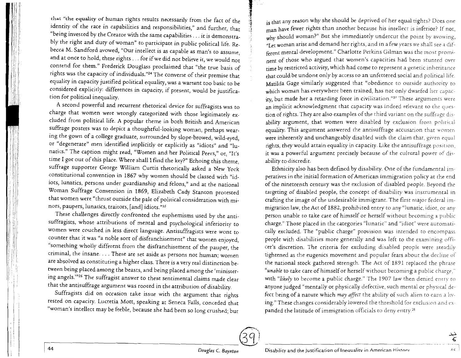that "the equality of human rights results necessarily from the fact of the identity of the race in capabilities and responsibilities," and further, that "being invested by the Creator with the same capabilities . . . it is demonstrably the right and duty of woman" to participate in public political life. Rebecca M. Sandford avowed, "Our intellect is as capable as man's to assume, and at once to hold, these rights . . . for if we did not believe it, we would not contend for them." Frederick Douglass proclaimed that "the true basis of rights was the capacity of individuals."24 The converse of their premise that equality in capacity justified political equality, was a warrant too basic to be considered explicitly: differences in capacity, if present, would be justification for political inequality.

A second powerful and recurrent rhetorical device for suffragists was to charge that women were wrongly categorized with those legitimately excluded from political life. A popular theme in both British and American suffrage posters was to depict a thoughtful-looking woman, perhaps wearing the gown of a college graduate, surrounded by slope-browed, wild-eyed, or "degenerate" men identified implicitly or explicitly as "idiots" and "lunatics." The caption might read, "Women and her Political Peers," or, "It's time I got out of this place. Where shall I find the key?" Echoing this theme, suffrage supporter George William Curtis rhetorically asked a New York constitutional convention in 1867 why women should be classed with "idiots, lunatics, persons under guardianship and felons," and at the national Woman Suffrage Convention in 1869, Elizabeth Cady Stanton protested that women were "thrust outside the pale of political consideration with minors, paupers, lunatics, traitors, [and] idiots."25

These challenges directly confronted the euphemisms used by the antisuffragists, whose attributions of mental and psychological inferiority to women were couched in less direct language. Antisuffragists were wont to counter that it was "a noble sort of disfranchisement" that women enjoyed, "something wholly different from the disfranchisement of the pauper, the criminal, the insane. . . . These are set aside as persons not human; women are absolved as constituting a higher class. There is a very real distinction between being placed among the beasts, and being placed among the 'ministering angels."<sup>26</sup> The suffragist answer to these sentimental claims made clear that the antisuffrage argument was rooted in the attribution of disability.

Suffragists did on occasion take issue with the argument that rights rested on capacity. Lucretia Mott, speaking at Seneca Falls, conceded that "woman's intellect may be feeble, because she had been so long crushed; but

is that any reason why she should be deprived of her equal rights? Does one man have fewer rights than another because his intellect is inferior? If not, why should woman?" But she immediately undercut the point by avowing, "Let woman arise and demand her rights, and in a few years we shall see a different mental development." Charlotte Perkins Gilman was the most prominent of those who argued that women's capacities had been stunted over time by restricted activity, which had come to represent a genetic inheritance that could be undone only by access to an unfettered social and political life. Matilda Gage similarly suggested that "obedience to outside authority to which woman has everywhere been trained, has not only dwarfed her capacity, but made her a retarding force in civilization."27 These arguments were an implicit acknowledgment that capacity was indeed relevant to the question of rights. They are also examples of the third variant on the suffrage disability argument, that women were disabled by exclusion from political equality. This argument answered the antisuffrage accusation that women were inherently and unchangeably disabled with the claim that, given equal rights, they would attain equality in capacity. Like the antisuffrage position, it was a powerful argument precisely because of the cultural power of disability to discredit.

Ethnicity also has been defined by disability. One of the fundamental imperatives in the initial formation of American immigration policy at the end of the nineteenth century was the exclusion of disabled people. Beyond the targeting of disabled people, the concept of disability was instrumental in crafting the image of the undesirable immigrant. The first major federal immigration law, the Act of 1882, prohibited entry to any "lunatic, idiot, or any person unable to take care of himself or herself without becoming a public charge." Those placed in the categories "lunatic" and "idiot" were automatically excluded. The "public charge" provision was intended to encompass people with disabilities more generally and was left to the examining officer's discretion. The criteria for excluding disabled people were steadily tightened as the eugenics movement and popular fears about the decline of the national stock gathered strength. The Act of 1891 replaced the phrase "*unable* to take care of himself or herself without becoming a public charge," with "likely to become a public charge." The 1907 law then denied entry to anyone judged "mentally or physically defective, such mental or physical defect being of a nature which may affect the ability of such alien to earn a living." These changes considerably lowered the threshold for exclusion and expanded the latitude of immigration officials to deny entry.<sup>28</sup>

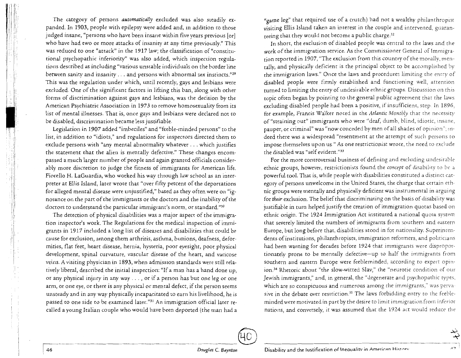The category of persons automatically excluded was also steadily expanded. In 1903, people with epilepsy were added and, in addition to those judged insane, "persons who have been insane within five years previous [or] who have had two or more attacks of insanity at any time previously." This was reduced to one "attack" in the 1917 law; the classification of "constitutional psychopathic inferiority" was also added, which inspection regulations described as including "various unstable individuals on the border line between sanity and insanity . . . and persons with abnormal sex instincts."29 This was the regulation under which, until recently, gays and lesbians were excluded. One of the significant factors in lifting this ban, along with other forms of discrimination against gays and lesbians, was the decision by the American Psychiatric Association in 1973 to remove homosexuality from its list of mental illnesses. That is, once gays and lesbians were declared not to be disabled, discrimination became less justifiable.

Legislation in 1907 added "imbeciles" and "feeble-minded persons" to the list, in addition to "idiots," and regulations for inspectors directed them to exclude persons with "any mental abnormality whatever . . . which justifies the statement that the alien is mentally defective." These changes encompassed a much larger number of people and again granted officials considerably more discretion to judge the fitness of immigrants for American life. Fiorello H. LaGuardia, who worked his way through law school as an interpreter at Ellis Island, later wrote that "over fifty percent of the deportations for alleged mental disease were unjustified," based as they often were on "ignorance on the part of the immigrants or the doctors and the inability of the doctors to understand the particular immigrant's norm, or standard."30

The detection of physical disabilities was a major aspect of the immigration inspector's work. The Regulations for the medical inspection of immigrants in 1917 included a long list of diseases and disabilities that could be cause for exclusion, among them arthritis, asthma, bunions, deafness, deformities, flat feet, heart disease, hernia, hysteria, poor eyesight, poor physical development, spinal curvature, vascular disease of the heart, and varicose veins. A visiting physician in 1893, when admission standards were still relatively liberal, described the initial inspection: "If a man has a hand done up, or any physical injury in any way . . . , or if a person has but one leg or one arm, or one eye, or there is any physical or mental defect, if the person seems unsteady and in any way physically incapacitated to earn his livelihood, he is passed to one side to be examined later."31 An immigration official later recalled a young Italian couple who would have been deported (the man had a

"game leg" that required use of a crutch) had not a wealthy philanthropist visiting Ellis Island taken an interest in the couple and intervened, guaranteeing that they would not become a public charge.<sup>32</sup>

In short, the exclusion of disabled people was central to the laws and the work of the immigration service. As the Commissioner General of Immigration reported in 1907, "The exclusion from this country of the morally, mentally, and physically deficient is the principal object to be accomplished by the immigration laws." Once the laws and procedures limiting the entry of disabled people were firmly established and functioning well, attention turned to limiting the entry of undesirable ethnic groups. Discussion on this topic often began by pointing to the general public agreement that the laws excluding disabled people had been a positive, if insufficient, step. In 1896, for example, Francis Walker noted in the Atlantic Monthly that the necessity of "straining out" immigrants who were "deaf, dumb, blind, idiotic, insane, pauper, or criminal" was "now conceded by men of all shades of opinion"; indeed there was a widespread "resentment at the attempt of such persons to impose themselves upon us." As one restrictionist wrote, the need to exclude the disabled was "self evident."33

For the more controversial business of defining and excluding undesirable ethnic groups, however, restrictionists found the concept of disability to be a powerful tool. That is, while people with disabilities constituted a distinct category of persons unwelcome in the United States, the charge that certain ethnic groups were mentally and physically deficient was instrumental in arguing for their exclusion. The belief that discriminating on the basis of disability was justifiable in turn helped justify the creation of immigration quotas based on ethnic origin. The 1924 Immigration Act instituted a national quota system that severely limited the numbers of immigrants from southern and eastern Europe, but long before that, disabilities stood in for nationality. Superintendents of institutions, philanthropists, immigration reformers, and politicians had been warning for decades before 1924 that immigrants were disproportionately prone to be mentally defective-up to half the immigrants from southern and eastern Europe were feebleminded, according to expert opinion.<sup>34</sup> Rhetoric about "the slow-witted Slav," the "neurotic condition of our Jewish immigrants," and, in general, the "degenerate and psychopathic types, which are so conspicuous and numerous among the immigrants," was pervasive in the debate over restriction.<sup>35</sup> The laws forbidding entry to the feebleminded were motivated in part by the desire to limit immigration from inferior nations, and conversely, it was assumed that the 1924 act would reduce the

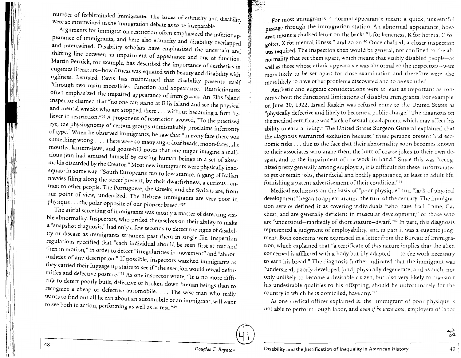number of feebleminded immigrants. The issues of ethnicity and disability were so intertwined in the immigration debate as to be inseparable.

Arguments for immigration restriction often emphasized the inferior appearance of immigrants, and here also ethnicity and disability overlapped and intertwined. Disability scholars have emphasized the uncertain and shifting line between an impairment of appearance and one of function. Martin Pernick, for example, has described the importance of aesthetics in eugenics literature-how fitness was equated with beauty and disability with ugliness. Lennard Davis has maintained that disability presents itself "through two main modalities-function and appearance." Restrictionists often emphasized the impaired appearance of immigrants. An Ellis Island inspector claimed that "no one can stand at Ellis Island and see the physical and mental wrecks who are stopped there . . . without becoming a firm believer in restriction."36 A proponent of restriction avowed, "To the practised eye, the physiognomy of certain groups unmistakably proclaims inferiority of type." When he observed immigrants, he saw that "in every face there was something wrong . . . . There were so many sugar-loaf heads, moon-faces, slit mouths, lantern-jaws, and goose-bill noses that one might imagine a malicious jinn had amused himself by casting human beings in a set of skewmolds discarded by the Creator." Most new immigrants were physically inadequate in some way: "South Europeans run to low stature. A gang of Italian navvies filing along the street present, by their dwarfishness, a curious contrast to other people. The Portuguese, the Greeks, and the Syrians are, from our point of view, undersized. The Hebrew immigrants are very poor in physique ... the polar opposite of our pioneer breed."37

The initial screening of immigrants was mostly a matter of detecting visible abnormality. Inspectors, who prided themselves on their ability to make a "snapshot diagnosis," had only a few seconds to detect the signs of disability or disease as immigrants streamed past them in single file. Inspection regulations specified that "each individual should be seen first at rest and then in motion," in order to detect "irregularities in movement" and "abnormalities of any description." If possible, inspectors watched immigrants as they carried their luggage up stairs to see if "the exertion would reveal deformities and defective posture."38 As one inspector wrote, "It is no more difficult to detect poorly built, defective or broken down human beings than to recognize a cheap or defective automobile. . . . The wise man who really wants to find out all he can about an automobile or an immigrant, will want to see both in action, performing as well as at rest."39

For most immigrants, a normal appearance meant a quick, uneventful passage through the immigration station. An abnormal appearance, however, meant a chalked letter on the back: "L for lameness, K for hernia, G for goiter, X for mental illness," and so on.<sup>40</sup> Once chalked, a closer inspection was required. The inspection then would be general, not confined to the abnormality that set them apart, which meant that visibly disabled people-as well as those whose ethnic appearance was abnormal to the inspectors-were more likely to be set apart for close examination and therefore were also more likely to have other problems discovered and to be excluded.

Aesthetic and eugenic considerations were at least as important as concerns about the functional limitations of disabled immigrants. For example, on June 30, 1922, Israel Raskin was refused entry to the United States as "physically defective and likely to become a public charge." The diagnosis on the medical certificate was "lack of sexual development which may affect his ability to earn a living." The United States Surgeon General explained that the diagnosis warranted exclusion because "these persons present bad economic risks . . . due to the fact that their abnormality soon becomes known to their associates who make them the butt of coarse jokes to their own despair, and to the impairment of the work in hand." Since this was "recognized pretty generally among employers, it is difficult for these unfortunates to get or retain jobs, their facial and bodily appearance, at least in adult life, furnishing a patent advertisement of their condition."41

Medical exclusions on the basis of "poor physique" and "lack of physical development" began to appear around the turn of the century. The immigration service defined it as covering individuals "who have frail frame, flat chest, and are generally deficient in muscular development," or those who are "undersized-markedly of short stature-dwarf."42 In part, this diagnosis represented a judgment of employability, and in part it was a eugenic judgment. Both concerns were expressed in a letter from the Bureau of Immigration, which explained that "a certificate of this nature implies that the alien concerned is afflicted with a body but illy adapted . . . to the work necessary to earn his bread." The diagnosis further indicated that the immigrant was "undersized, poorly developed [and] physically degenerate, and as such, not only unlikely to become a desirable citizen, but also very likely to transmit his undesirable qualities to his offspring, should he unfortunately for the country in which he is domiciled, have any."43

As one medical officer explained it, the "immigrant of poor physique is not able to perform rough labor, and even if he were able, employers of labor



⋩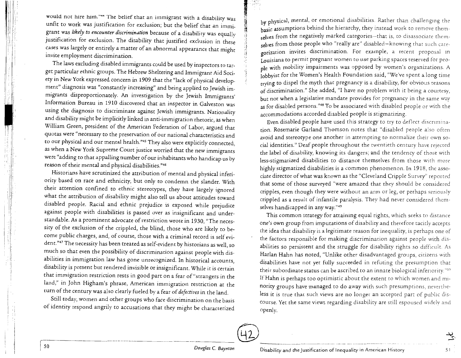would not hire him."<sup>44</sup> The belief that an immigrant with a disability was unfit to work was justification for exclusion; but the belief that an immigrant was likely to encounter discrimination because of a disability was equally justification for exclusion. The disability that justified exclusion in these cases was largely or entirely a matter of an abnormal appearance that might invite employment discrimination.

The laws excluding disabled immigrants could be used by inspectors to target particular ethnic groups. The Hebrew Sheltering and Immigrant Aid Society in New York expressed concern in 1909 that the "lack of physical development" diagnosis was "constantly increasing" and being applied to Jewish immigrants disproportionately. An investigation by the Jewish Immigrants' Information Bureau in 1910 discovered that an inspector in Galveston was using the diagnosis to discriminate against Jewish immigrants. Nationality and disability might be implicitly linked in anti-immigration rhetoric, as when William Green, president of the American Federation of Labor, argued that quotas were "necessary to the preservation of our national characteristics and to our physical and our mental health."45 They also were explicitly connected, as when a New York Supreme Court justice worried that the new immigrants were "adding to that appalling number of our inhabitants who handicap us by reason of their mental and physical disabilities."46

Historians have scrutinized the attribution of mental and physical inferiority based on race and ethnicity, but only to condemn the slander. With their attention confined to ethnic stereotypes, they have largely ignored what the attribution of disability might also tell us about attitudes toward disabled people. Racial and ethnic prejudice is exposed while prejudice against people with disabilities is passed over as insignificant and understandable. As a prominent advocate of restriction wrote in 1930, "The necessity of the exclusion of the crippled, the blind, those who are likely to become public charges, and, of course, those with a criminal record is self evident."47 The necessity has been treated as self-evident by historians as well, so much so that even the possibility of discrimination against people with disabilities in immigration law has gone unrecognized. In historical accounts, disability is present but rendered invisible or insignificant. While it is certain that immigration restriction rests in good part on a fear of "strangers in the land," in John Higham's phrase, American immigration restriction at the turn of the century was also clearly fueled by a fear of defectives in the land.

Still today, women and other groups who face discrimination on the basis of identity respond angrily to accusations that they might be characterized

by physical, mental, or emotional disabilities. Rather than challenging the hasic assumptions behind the hierarchy, they instead work to remove themselves from the negatively marked categories-that is, to disassociate themselves from those people who "really are" disabled-knowing that such categorization invites discrimination. For example, a recent proposal in Louisiana to permit pregnant women to use parking spaces reserved for people with mobility impairments was opposed by women's organizations. A Jobbyist for the Women's Health Foundation said, "We've spent a long time trying to dispel the myth that pregnancy is a disability, for obvious reasons of discrimination." She added, "I have no problem with it being a courtesy, but not when a legislative mandate provides for pregnancy in the same way as for disabled persons."48 To be associated with disabled people or with the accommodations accorded disabled people is stigmatizing.

Even disabled people have used this strategy to try to deflect discrimination. Rosemarie Garland Thomson notes that "disabled people also often avoid and stereotype one another in attempting to normalize their own social identities." Deaf people throughout the twentieth century have rejected the label of disability, knowing its dangers; and the tendency of those with less-stigmatized disabilities to distance themselves from those with more highly stigmatized disabilities is a common phenomenon. In 1918, the associate director of what was known as the "Cleveland Cripple Survey" reported that some of those surveyed "were amazed that they should be considered cripples, even though they were without an arm or leg, or perhaps seriously crippled as a result of infantile paralysis. They had never considered themselves handicapped in any way."49

This common strategy for attaining equal rights, which seeks to distance one's own group from imputations of disability and therefore tacitly accepts the idea that disability is a legitimate reason for inequality, is perhaps one of the factors responsible for making discrimination against people with disabilities so persistent and the struggle for disability rights so difficult. As Harlan Hahn has noted, "Unlike other disadvantaged groups, citizens with disabilities have not yet fully succeeded in refuting the presumption that their subordinate status can be ascribed to an innate biological inferiority."50 If Hahn is perhaps too optimistic about the extent to which women and minority groups have managed to do away with such presumptions, nevertheless it is true that such views are no longer an accepted part of public discourse. Yet the same views regarding disability are still espoused widely and openly.

51

Douglas C. Baynton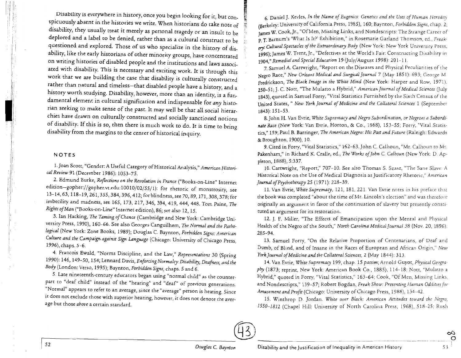Disability is everywhere in history, once you begin looking for it, but conspicuously absent in the histories we write. When historians do take note of disability, they usually treat it merely as personal tragedy or an insult to be deplored and a label to be denied, rather than as a cultural construct to be questioned and explored. Those of us who specialize in the history of disability, like the early historians of other minority groups, have concentrated on writing histories of disabled people and the institutions and laws associated with disability. This is necessary and exciting work. It is through this work that we are building the case that disability is culturally constructed rather than natural and timeless-that disabled people have a history, and a history worth studying. Disability, however, more than an identity, is a fundamental element in cultural signification and indispensable for any historian seeking to make sense of the past. It may well be that all social hierarchies have drawn on culturally constructed and socially sanctioned notions of disability. If this is so, then there is much work to do. It is time to bring disability from the margins to the center of historical inquiry.

## **NOTES**

1. Joan Scott, "Gender: A Useful Category of Historical Analysis," American Historical Review 91 (December 1986): 1053-75.

2. Edmund Burke, Reflections on the Revolution in France ("Books-on-Line" Internet edition-gopher://gopher.vt.edu:10010/02/55/1): for rhetoric of monstrosity, see 13-14, 63, 118-19, 261, 355, 384, 396, 412; for blindness, see 70, 89, 171, 308, 378; for imbecility and madness, see 165, 173, 217, 346, 394, 419, 444, 448. Tom Paine, The Rights of Man ("Books-on-Line" Internet edition), 86; see also 12, 15.

3. Ian Hacking, The Taming of Chance (Cambridge and New York: Cambridge University Press, 1990), 160-66. See also Georges Canguilhem, The Normal and the Pathological (New York: Zone Books, 1989); Douglas C. Baynton, Forbidden Signs: American Culture and the Campaign against Sign Language (Chicago: University of Chicago Press, 1996), chaps. 5-6.

4. Francois Ewald, "Norms Discipline, and the Law," Representations 30 (Spring 1990): 146, 149-50, 154; Lennard Davis, Enforcing Normalcy: Disability, Deafness, and the Body (London: Verso, 1995); Baynton, Forbidden Signs, chaps. 5 and 6.

5. Late nineteenth-century educators began using "normal child" as the counterpart to "deaf child" instead of the "hearing" and "deaf" of previous generations. "Normal" appears to refer to an average, since the "average" person is hearing. Since it does not exclude those with superior hearing, however, it does not denote the average but those above a certain standard.

6. Daniel J. Kevles, In the Name of Eugenics: Genetics and the Uses of Human Heredity (Berkeley: University of California Press, 1985), 160; Baynton, Forbidden Signs, chap. 2; James W. Cook, Jr., "Of Men, Missing Links, and Nondescripts: The Strange Career of P. T. Barnum's 'What Is It?' Exhibition," in Rosemarie Garland Thomson, ed., Freakery: Cultural Spectacles of the Extraordinary Body (New York: New York University Press, 1996); James W. Trent, Jr., "Defectives at the World's Fair: Constructing Disability in 1904," Remedial and Special Education 19 (July/August 1998): 201-11.

7. Samuel A. Cartwright, "Report on the Diseases and Physical Peculiarities of the Negro Race," New Orleans Medical and Surgical Journal 7 (May 1851): 693; George M Fredrickson, The Black Image in the White Mind (New York: Harper and Row, 1971), 250-51; J. C. Nott, "The Mulatto a Hybrid," American Journal of Medical Sciences (July 1843), quoted in Samuel Forry, "Vital Statistics Furnished by the Sixth Census of the United States, " New York Journal of Medicine and the Collateral Sciences 1 (September  $1843$ : 151-53.

8. John H. Van Evrie, White Supremacy and Negro Subordination, or Negroes a Subordinate Race (New York: Van Evrie, Horton, & Co., 1868), 153-55; Forry, "Vital Statistics," 159; Paul B. Barringer, The American Negro: His Past and Future (Raleigh: Edwards & Broughton, 1900), 10.

9. Cited in Forry, "Vital Statistics," 162-63. John C. Calhoun, "Mr. Calhoun to Mr. Pakenham," in Richard K. Cralle, ed., The Works of John C. Calhoun (New York: D. Appleton, 1888), 5:337.

10. Cartwright, "Report," 707-10. See also Thomas S. Szasz, "The Sane Slave: A Historical Note on the Use of Medical Diagnosis as Justificatory Rhetoric," American Journal of Psychotherapy 25 (1971): 228–39.

11. Van Evrie, White Supremacy, 121, 181, 221. Van Evrie notes in his preface that the book was completed "about the time of Mr. Lincoln's election" and was therefore originally an argument in favor of the continuation of slavery but presently constituted an argument for its restoration.

12. J. F. Miller, "The Effects of Emancipation upon the Mental and Physical Health of the Negro of the South," North Carolina Medical Journal 38 (Nov. 20, 1896): 285-94.

13. Samuel Forry, "On the Relative Proportion of Centenarians, of Deaf and Dumb, of Blind, and of Insane in the Races of European and African Origin," New York Journal of Medicine and the Collateral Sciences, 2 (May 1844): 313.

14. Van Evrie, White Supremacy 199, chap. 15 passim; Arnold Guyot, Physical Geogra*pby* (1873; reprint, New York: American Book Co., 1885), 114–18; Nott, "Mulatto a Hybrid," quoted in Forry, "Vital Statistics," 163-64; Cook, "Of Men, Missing Links, and Nondescripts," 139-57; Robert Bogdan, Freak Show: Presenting Human Oddities for Amusement and Profit (Chicago: University of Chicago Press, 1988), 134-42.

15. Winthrop D. Jordan. White over Black: American Attitudes toward the Negro, 1550–1812 (Chapel Hill: University of North Carolina Press, 1968), 518–25; Rush



∞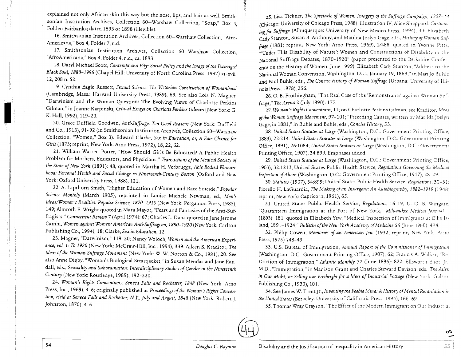explained not only African skin this way but the nose, lips, and hair as well. Smithsonian Institution Archives, Collection 60-Warshaw Collection, "Soap," Box 4, Folder: Fairbanks; dated 1893 or 1898 (illegible).

16. Smithsonian Institution Archives, Collection 60-Warshaw Collection, "Afro-Americana," Box 4, Folder 7, n.d.

17. Smithsonian Institution Archives, Collection 60-Warshaw Collection, "AfroAmericana," Box 4, Folder 4, n.d., ca. 1893.

18. Daryl Michael Scott, Contempt and Pity: Social Policy and the Image of the Damaged Black Soul, 1880-1996 (Chapel Hill: University of North Carolina Press, 1997) xi-xvii; 12, 208 n. 52.

19. Cynthia Eagle Russett, Sexual Science: The Victorian Construction of Womanhood (Cambridge, Mass.: Harvard University Press, 1989), 63. See also Lois N. Magner, "Darwinism and the Woman Question: The Evolving Views of Charlotte Perkins Gilman," in Joanne Karpinski, Critical Essays on Charlotte Perkins Gilman (New York: G. K. Hall, 1992), 119-20.

20. Grace Duffield Goodwin, Anti-Suffrage: Ten Good Reasons (New York: Duffield and Co., 1913), 91-92 (in Smithsonian Institution Archives, Collection 60-Warshaw Collection, "Women," Box 3). Edward Clarke, Sex in Education; or, A Fair Chance for Girls (1873; reprint, New York: Arno Press, 1972), 18, 22, 62.

21. William Warren Potter, "How Should Girls Be Educated? A Public Health Problem for Mothers, Educators, and Physicians," Transactions of the Medical Society of the State of New York (1891): 48, quoted in Martha H. Verbrugge, Able Bodied Womanhood: Personal Health and Social Change in Nineteenth-Century Boston (Oxford and New York: Oxford University Press, 1988), 121.

22. A. Lapthorn Smith, "Higher Education of Women and Race Suicide," Popular Science Monthly (March 1905), reprinted in Louise Michele Newman, ed., Men's Ideas/Women's Realities: Popular Science, 1870-1915 (New York: Pergamon Press, 1985), 149; Almroth E. Wright quoted in Mara Mayor, "Fears and Fantasies of the Anti-Suffragists," Connecticut Review 7 (April 1974): 67; Charles L. Dana quoted in Jane Jerome Camhi, Women against Women: American Anti-Suffragism, 1880-1920 (New York: Carlson Publishing Co., 1994), 18; Clarke, Sex in Education, 12.

23. Magner, "Darwinism," 119-20; Nancy Woloch, Women and the American Experience, vol. 1: To 1920 (New York: McGraw-Hill, Inc., 1994), 339: Aileen S. Kraditor, The Ideas of the Woman Suffrage Movement (New York: W. W. Norton & Co., 1981), 20. See also Anne Digby, "Woman's Biological Straitjacket," in Susan Mendas and Jane Randall, eds., Sexuality and Subordination: Interdisciplinary Studies of Gender in the Nineteenth Century (New York: Routledge, 1989), 192-220.

24. Woman's Rights Conventions: Seneca Falls and Rochester, 1848 (New York: Arno Press, Inc., 1969), 4-6; originally published as Proceedings of the Woman's Rights Convention, Held at Seneca Falls and Rochester, N.Y., July and August, 1848 (New York: Robert J. Johnston, 1870), 4–6.

25. Lisa Tickner, The Spectacle of Women: Imagery of the Suffrage Campaign, 1907–14 (Chicago: University of Chicago Press, 1988), illustration IV; Alice Sheppard, Cartooning for Suffrage (Albuquerque: University of New Mexico Press, 1994), 30; Elizabeth Cady Stanton, Susan B. Anthony, and Matilda Joslyn Gage, eds., History of Woman Suffrage (1881; reprint, New York: Arno Press, 1969), 2:288, quoted in Yvonne Pitts, "Under This Disability of Nature': Women and Constructions of Disability in the National Suffrage Debates, 1870-1920" (paper presented to the Berkshire Conference on the History of Women, June 1999); Elizabeth Cady Stanton, "Address ro the National Woman Convention, Washington, D.C., January 19, 1869," in Mari Jo Buhle and Paul Buhle, eds., The Concise History of Woman Suffrage (Urbana: University of Illinois Press, 1978), 256.

26. O. B. Frothingham, "The Real Case of the 'Remonstrants' against Woman Suffrage," The Arena 2 (July 1890): 177.

27. Woman's Rights Conventions, 11; on Charlotte Perkins Gilman, see Kraditor, Ideas of the Woman Suffrage Movement, 97-101; "Preceding Causes, written by Matilda Joslyn Gage, in 1881," in Buhle and Buhle, eds., Concise History, 53.

28. United States Statutes at Large (Washington, D.C.: Government Printing Office, 1883), 22:214. United States Statutes at Large (Washington, D.C.: Government Printing Office, 1891), 26:1084; United States Statutes at Large (Washington, D.C.: Government Printing Office, 1907), 34:899. Emphases added.

29. United States Statutes at Large (Washington, D.C.: Government Printing Office, 1903), 32:1213; United States Public Health Service, Regulations Governing the Medical Inspection of Aliens (Washington, D.C.: Government Printing Office, 1917), 28-29.

30. Statutes (1907), 34:899; United States Public Health Service, Regulations, 30-31; Fiorello H. LaGuardia, The Making of an Insurgent: An Autobiography, 1882-1919 (1948; reprint, New York: Capricorn, 1961), 65.

31. United States Public Health Service, Regulations, 16-19; U. O.B. Wingate, "Quaranteen Immigration at the Port of New York," *Milwaukee Medical Journal* 1 (1893): 181, quoted in Elizabeth Yew, "Medical Inspection of Immigrants at Ellis Island, 1891–1924," Bulletin of the New York Academy of Medicine 56 (June 1980): 494.

32. Philip Cowen, Memories of an American Jew (1932; reprint, New York: Arno Press, 1975) 148-49.

33. U.S. Bureau of Immigration, Annual Report of the Commissioner of Immigration (Washington, D.C.: Government Printing Office, 1907), 62; Francis A. Walker, "Restriction of Immigration," Atlantic Monthly 77 (June 1896): 822; Ellsworth Eliot, Jr., M.D., "Immigration," in Madison Grant and Charles Steward Davison, eds., The Alien in Our Midst, or Selling our Birthright for a Mess of Industrial Pottage (New York: Galton Publishing Co., 1930), 101.

34. See James W. Trent Jr., Inventing the Feeble Mind: A History of Mental Retardation in the United States (Berkeley: University of California Press, 1994), 166-69.

35. Thomas Wray Grayson, "The Effect of the Modern Immigrant on Our Industrial

55